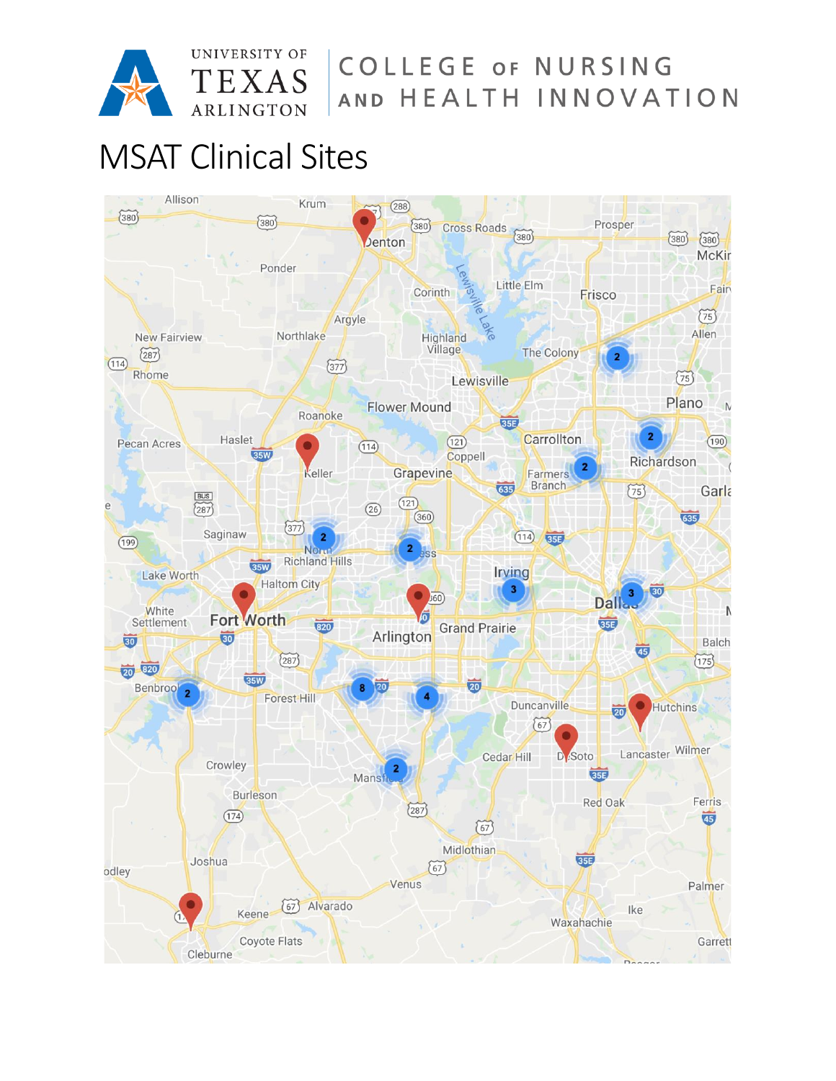

COLLEGE OF NURSING AND HEALTH INNOVATION

# MSAT Clinical Sites

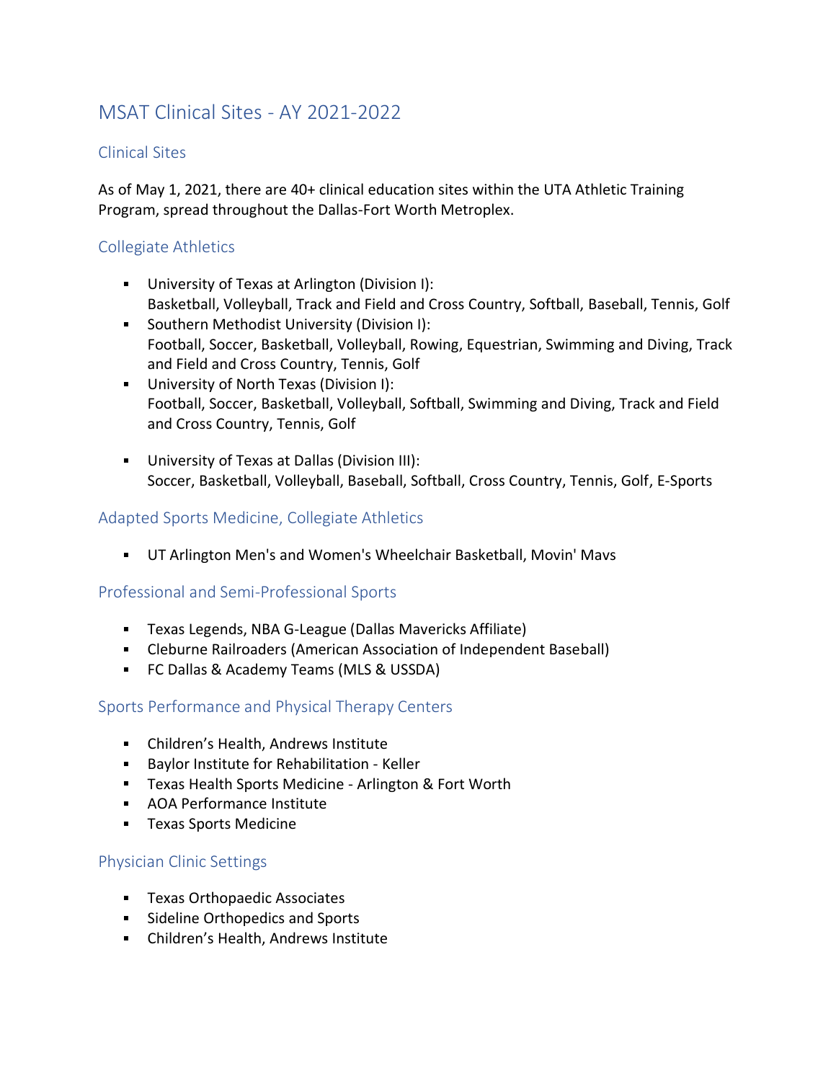# MSAT Clinical Sites - AY 2021-2022

# Clinical Sites

As of May 1, 2021, there are 40+ clinical education sites within the UTA Athletic Training Program, spread throughout the Dallas-Fort Worth Metroplex.

# Collegiate Athletics

- University of Texas at Arlington (Division I): Basketball, Volleyball, Track and Field and Cross Country, Softball, Baseball, Tennis, Golf
- Southern Methodist University (Division I): Football, Soccer, Basketball, Volleyball, Rowing, Equestrian, Swimming and Diving, Track and Field and Cross Country, Tennis, Golf
- University of North Texas (Division I): Football, Soccer, Basketball, Volleyball, Softball, Swimming and Diving, Track and Field and Cross Country, Tennis, Golf
- University of Texas at Dallas (Division III): Soccer, Basketball, Volleyball, Baseball, Softball, Cross Country, Tennis, Golf, E-Sports

### Adapted Sports Medicine, Collegiate Athletics

UT Arlington Men's and Women's Wheelchair Basketball, Movin' Mavs

#### Professional and Semi-Professional Sports

- Texas Legends, NBA G-League (Dallas Mavericks Affiliate)
- Cleburne Railroaders (American Association of Independent Baseball)
- FC Dallas & Academy Teams (MLS & USSDA)

# Sports Performance and Physical Therapy Centers

- Children's Health, Andrews Institute
- **Baylor Institute for Rehabilitation Keller**
- **Texas Health Sports Medicine Arlington & Fort Worth**
- AOA Performance Institute
- **Texas Sports Medicine**

# Physician Clinic Settings

- **Texas Orthopaedic Associates**
- **Sideline Orthopedics and Sports**
- Children's Health, Andrews Institute